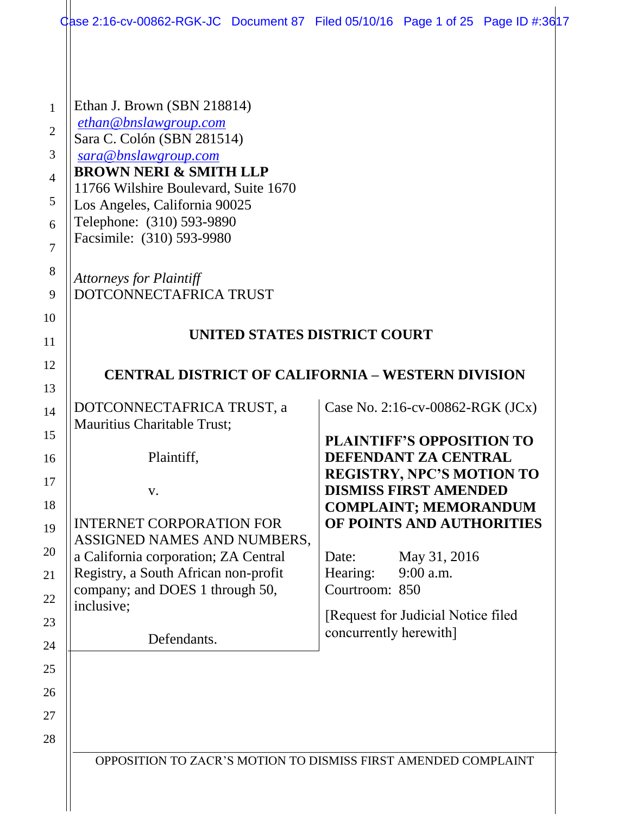|                | Qase 2:16-cv-00862-RGK-JC Document 87 Filed 05/10/16 Page 1 of 25 Page ID #:3617 |  |                              |                                                                  |  |
|----------------|----------------------------------------------------------------------------------|--|------------------------------|------------------------------------------------------------------|--|
| 1              | Ethan J. Brown (SBN 218814)                                                      |  |                              |                                                                  |  |
| $\overline{2}$ | ethan@bnslawgroup.com                                                            |  |                              |                                                                  |  |
| 3              | Sara C. Colón (SBN 281514)<br>sara@bnslawgroup.com                               |  |                              |                                                                  |  |
| $\overline{4}$ | <b>BROWN NERI &amp; SMITH LLP</b>                                                |  |                              |                                                                  |  |
| 5              | 11766 Wilshire Boulevard, Suite 1670<br>Los Angeles, California 90025            |  |                              |                                                                  |  |
| 6              | Telephone: (310) 593-9890                                                        |  |                              |                                                                  |  |
| $\overline{7}$ | Facsimile: (310) 593-9980                                                        |  |                              |                                                                  |  |
| 8              | <b>Attorneys for Plaintiff</b>                                                   |  |                              |                                                                  |  |
| 9              | DOTCONNECTAFRICA TRUST                                                           |  |                              |                                                                  |  |
| 10             |                                                                                  |  | UNITED STATES DISTRICT COURT |                                                                  |  |
| 11<br>12       |                                                                                  |  |                              |                                                                  |  |
| 13             | <b>CENTRAL DISTRICT OF CALIFORNIA – WESTERN DIVISION</b>                         |  |                              |                                                                  |  |
| 14             | DOTCONNECTAFRICA TRUST, a                                                        |  |                              | Case No. 2:16-cv-00862-RGK (JCx)                                 |  |
| 15             | Mauritius Charitable Trust;                                                      |  |                              | <b>PLAINTIFF'S OPPOSITION TO</b>                                 |  |
| 16             | Plaintiff,                                                                       |  |                              | DEFENDANT ZA CENTRAL                                             |  |
| 17             | V.                                                                               |  |                              | <b>REGISTRY, NPC'S MOTION TO</b><br><b>DISMISS FIRST AMENDED</b> |  |
| 18             |                                                                                  |  |                              | <b>COMPLAINT; MEMORANDUM</b>                                     |  |
| 19             | <b>INTERNET CORPORATION FOR</b><br>ASSIGNED NAMES AND NUMBERS,                   |  |                              | OF POINTS AND AUTHORITIES                                        |  |
| 20             | a California corporation; ZA Central                                             |  | Date:                        | May 31, 2016                                                     |  |
| 21             | Registry, a South African non-profit<br>company; and DOES 1 through 50,          |  | Hearing:<br>Courtroom: 850   | 9:00 a.m.                                                        |  |
| 22             | inclusive;                                                                       |  |                              | [Request for Judicial Notice filed]                              |  |
| 23<br>24       | Defendants.                                                                      |  | concurrently herewith]       |                                                                  |  |
| 25             |                                                                                  |  |                              |                                                                  |  |
| 26             |                                                                                  |  |                              |                                                                  |  |
| 27             |                                                                                  |  |                              |                                                                  |  |
| 28             |                                                                                  |  |                              |                                                                  |  |
|                | OPPOSITION TO ZACR'S MOTION TO DISMISS FIRST AMENDED COMPLAINT                   |  |                              |                                                                  |  |
|                |                                                                                  |  |                              |                                                                  |  |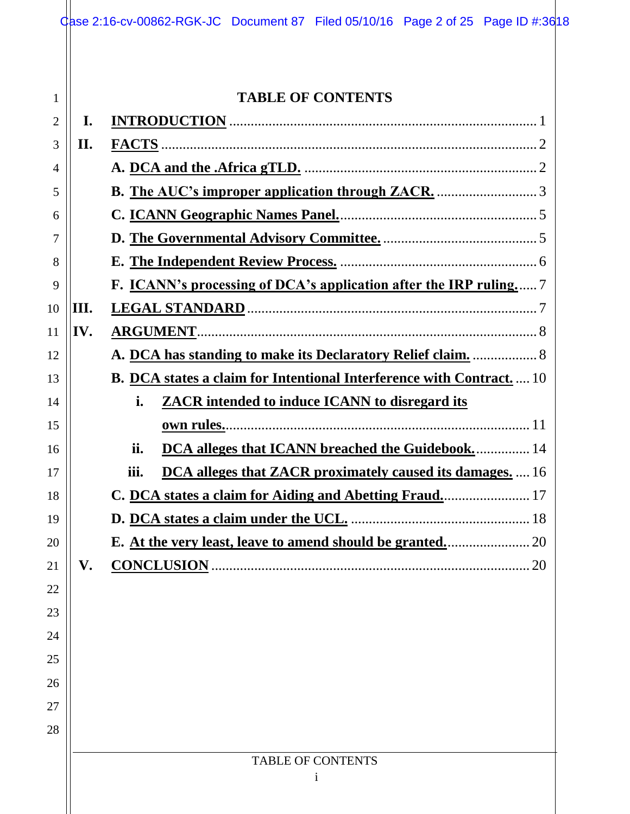|                |      | Case 2:16-cv-00862-RGK-JC Document 87 Filed 05/10/16 Page 2 of 25 Page ID #:3618 |
|----------------|------|----------------------------------------------------------------------------------|
|                |      |                                                                                  |
|                |      |                                                                                  |
| 1              |      | <b>TABLE OF CONTENTS</b>                                                         |
| $\overline{2}$ | I.   |                                                                                  |
| 3              | II.  |                                                                                  |
| 4              |      |                                                                                  |
| 5              |      |                                                                                  |
| 6              |      |                                                                                  |
| 7              |      |                                                                                  |
| 8              |      |                                                                                  |
| 9              |      | F. ICANN's processing of DCA's application after the IRP ruling 7                |
| 10             | III. |                                                                                  |
| 11             | IV.  |                                                                                  |
| 12             |      | A. DCA has standing to make its Declaratory Relief claim.  8                     |
| 13             |      | <b>B.</b> DCA states a claim for Intentional Interference with Contract 10       |
| 14             |      | <b>ZACR</b> intended to induce ICANN to disregard its<br>i.                      |
| 15             |      |                                                                                  |
| 16             |      | DCA alleges that ICANN breached the Guidebook 14<br>ii.                          |
| 17             |      | <b>DCA alleges that ZACR proximately caused its damages.</b> 16<br>iii.          |
| 18             |      |                                                                                  |
| 19             |      |                                                                                  |
| 20             |      |                                                                                  |
| 21             | V.   | <b>CONCLUSION.</b>                                                               |
| 22             |      |                                                                                  |
| 23             |      |                                                                                  |
| 24             |      |                                                                                  |
| 25             |      |                                                                                  |
| 26             |      |                                                                                  |
| 27             |      |                                                                                  |
| 28             |      |                                                                                  |
|                |      | <b>TABLE OF CONTENTS</b>                                                         |
|                |      | $\mathbf{1}$                                                                     |
|                |      |                                                                                  |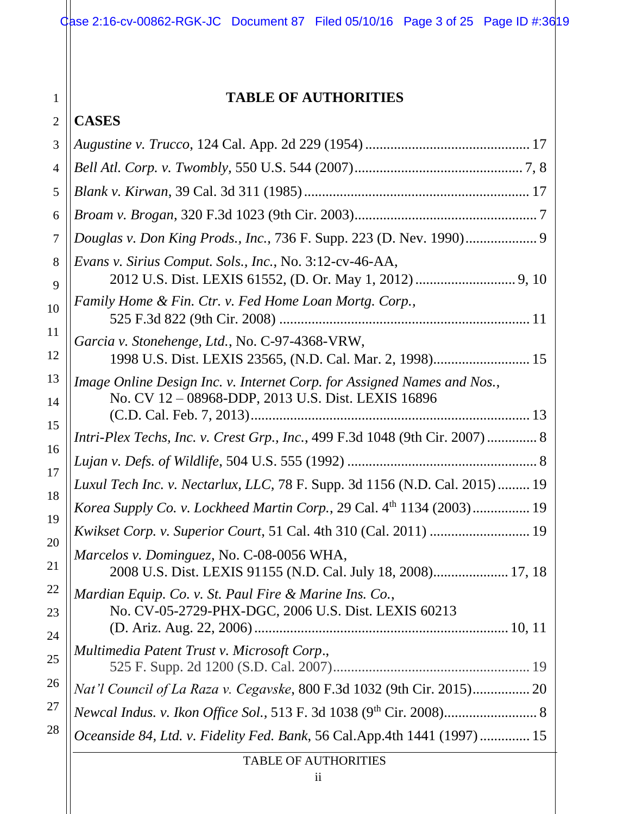# **TABLE OF AUTHORITIES**

| $\overline{2}$ | <b>CASES</b>                                                                                                                  |  |  |
|----------------|-------------------------------------------------------------------------------------------------------------------------------|--|--|
| 3              |                                                                                                                               |  |  |
| $\overline{4}$ |                                                                                                                               |  |  |
| 5              |                                                                                                                               |  |  |
| 6              |                                                                                                                               |  |  |
| 7              | Douglas v. Don King Prods., Inc., 736 F. Supp. 223 (D. Nev. 1990) 9                                                           |  |  |
| 8<br>9         | Evans v. Sirius Comput. Sols., Inc., No. 3:12-cv-46-AA,                                                                       |  |  |
| 10             | Family Home & Fin. Ctr. v. Fed Home Loan Mortg. Corp.,                                                                        |  |  |
| 11<br>12       | Garcia v. Stonehenge, Ltd., No. C-97-4368-VRW,<br>1998 U.S. Dist. LEXIS 23565, (N.D. Cal. Mar. 2, 1998) 15                    |  |  |
| 13<br>14       | Image Online Design Inc. v. Internet Corp. for Assigned Names and Nos.,<br>No. CV 12 - 08968-DDP, 2013 U.S. Dist. LEXIS 16896 |  |  |
| 15<br>16       | Intri-Plex Techs, Inc. v. Crest Grp., Inc., 499 F.3d 1048 (9th Cir. 2007)  8                                                  |  |  |
| 17             |                                                                                                                               |  |  |
| 18             | Luxul Tech Inc. v. Nectarlux, LLC, 78 F. Supp. 3d 1156 (N.D. Cal. 2015) 19                                                    |  |  |
| 19             | Korea Supply Co. v. Lockheed Martin Corp., 29 Cal. 4th 1134 (2003) 19                                                         |  |  |
| 20             | Kwikset Corp. v. Superior Court, 51 Cal. 4th 310 (Cal. 2011)  19                                                              |  |  |
| 21             | Marcelos v. Dominguez, No. C-08-0056 WHA,<br>2008 U.S. Dist. LEXIS 91155 (N.D. Cal. July 18, 2008) 17, 18                     |  |  |
| 22<br>23<br>24 | Mardian Equip. Co. v. St. Paul Fire & Marine Ins. Co.,<br>No. CV-05-2729-PHX-DGC, 2006 U.S. Dist. LEXIS 60213                 |  |  |
| 25             | Multimedia Patent Trust v. Microsoft Corp.,                                                                                   |  |  |
| 26             | Nat'l Council of La Raza v. Cegavske, 800 F.3d 1032 (9th Cir. 2015) 20                                                        |  |  |
| 27             |                                                                                                                               |  |  |
| 28             | Oceanside 84, Ltd. v. Fidelity Fed. Bank, 56 Cal.App.4th 1441 (1997) 15                                                       |  |  |
|                | <b>TABLE OF AUTHORITIES</b>                                                                                                   |  |  |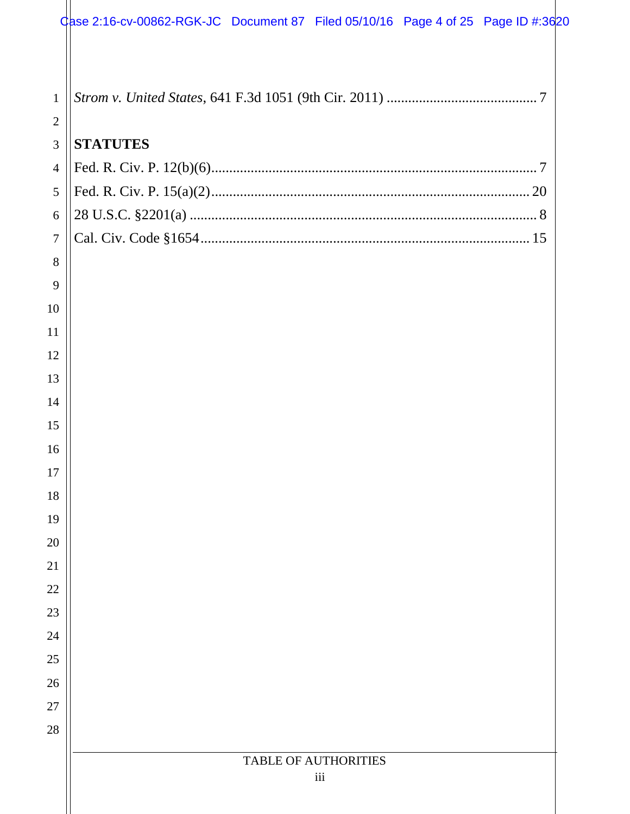| $\mathbf{1}$   |                             |
|----------------|-----------------------------|
| $\overline{2}$ |                             |
| 3              | <b>STATUTES</b>             |
| $\overline{4}$ |                             |
| 5              |                             |
| 6              |                             |
| $\overline{7}$ |                             |
| 8              |                             |
| 9              |                             |
| 10             |                             |
| 11             |                             |
| 12             |                             |
| 13             |                             |
| 14             |                             |
| 15             |                             |
| 16             |                             |
| 17             |                             |
| 18             |                             |
| 19             |                             |
| 20             |                             |
| 21             |                             |
| 22             |                             |
| 23             |                             |
| 24             |                             |
| 25             |                             |
| 26             |                             |
| 27             |                             |
| 28             |                             |
|                | <b>TABLE OF AUTHORITIES</b> |
|                | iii                         |
|                |                             |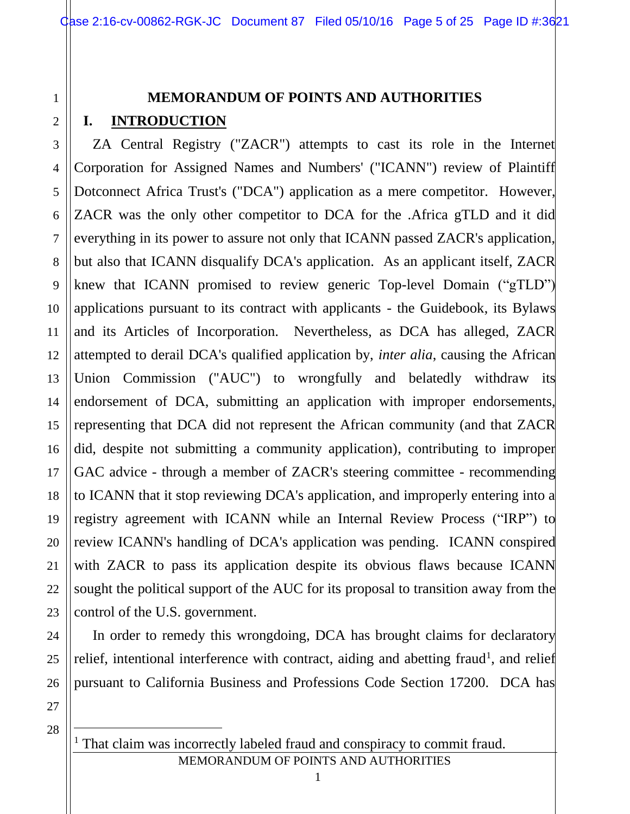# **MEMORANDUM OF POINTS AND AUTHORITIES**

# **I. INTRODUCTION**

1

2

3

4

5

6

7

8

9

10

11

12

13

14

15

16

17

18

19

20

21

22

23

24

25

26

ZA Central Registry ("ZACR") attempts to cast its role in the Internet Corporation for Assigned Names and Numbers' ("ICANN") review of Plaintiff Dotconnect Africa Trust's ("DCA") application as a mere competitor. However, ZACR was the only other competitor to DCA for the .Africa gTLD and it did everything in its power to assure not only that ICANN passed ZACR's application, but also that ICANN disqualify DCA's application. As an applicant itself, ZACR knew that ICANN promised to review generic Top-level Domain ("gTLD") applications pursuant to its contract with applicants - the Guidebook, its Bylaws and its Articles of Incorporation. Nevertheless, as DCA has alleged, ZACR attempted to derail DCA's qualified application by, *inter alia*, causing the African Union Commission ("AUC") to wrongfully and belatedly withdraw its endorsement of DCA, submitting an application with improper endorsements, representing that DCA did not represent the African community (and that ZACR did, despite not submitting a community application), contributing to improper GAC advice - through a member of ZACR's steering committee - recommending to ICANN that it stop reviewing DCA's application, and improperly entering into a registry agreement with ICANN while an Internal Review Process ("IRP") to review ICANN's handling of DCA's application was pending. ICANN conspired with ZACR to pass its application despite its obvious flaws because ICANN sought the political support of the AUC for its proposal to transition away from the control of the U.S. government.

In order to remedy this wrongdoing, DCA has brought claims for declaratory relief, intentional interference with contract, aiding and abetting fraud<sup>1</sup>, and relief pursuant to California Business and Professions Code Section 17200. DCA has

27 28

 $\overline{a}$ 

MEMORANDUM OF POINTS AND AUTHORITIES <sup>1</sup> That claim was incorrectly labeled fraud and conspiracy to commit fraud.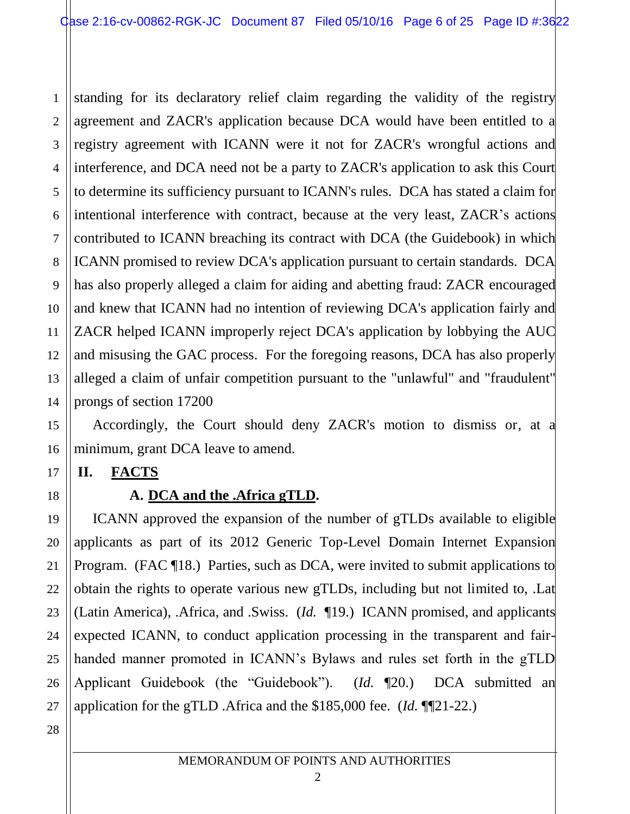1 2 3 4 5 6 7 8 9 10 11 12 13 14 standing for its declaratory relief claim regarding the validity of the registry agreement and ZACR's application because DCA would have been entitled to a registry agreement with ICANN were it not for ZACR's wrongful actions and interference, and DCA need not be a party to ZACR's application to ask this Court to determine its sufficiency pursuant to ICANN's rules. DCA has stated a claim for intentional interference with contract, because at the very least, ZACR's actions contributed to ICANN breaching its contract with DCA (the Guidebook) in which ICANN promised to review DCA's application pursuant to certain standards. DCA has also properly alleged a claim for aiding and abetting fraud: ZACR encouraged and knew that ICANN had no intention of reviewing DCA's application fairly and ZACR helped ICANN improperly reject DCA's application by lobbying the AUC and misusing the GAC process. For the foregoing reasons, DCA has also properly alleged a claim of unfair competition pursuant to the "unlawful" and "fraudulent" prongs of section 17200

Accordingly, the Court should deny ZACR's motion to dismiss or, at a minimum, grant DCA leave to amend.

### **II. FACTS**

# **A. DCA and the .Africa gTLD.**

ICANN approved the expansion of the number of gTLDs available to eligible applicants as part of its 2012 Generic Top-Level Domain Internet Expansion Program. (FAC ¶18.) Parties, such as DCA, were invited to submit applications to obtain the rights to operate various new gTLDs, including but not limited to, .Lat (Latin America), .Africa, and .Swiss. (*Id.* ¶19.) ICANN promised, and applicants expected ICANN, to conduct application processing in the transparent and fairhanded manner promoted in ICANN's Bylaws and rules set forth in the gTLD Applicant Guidebook (the "Guidebook"). (*Id.* ¶20.) DCA submitted an application for the gTLD .Africa and the \$185,000 fee. (*Id.* ¶¶21-22.)

26 27 28

15

16

17

18

19

20

21

22

23

24

25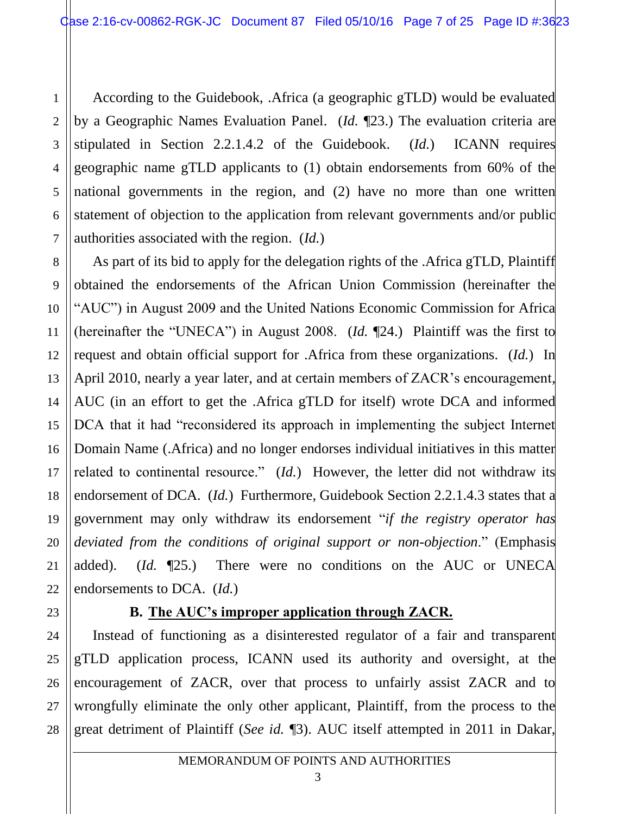According to the Guidebook, .Africa (a geographic gTLD) would be evaluated by a Geographic Names Evaluation Panel. (*Id.* ¶23.) The evaluation criteria are stipulated in Section 2.2.1.4.2 of the Guidebook. (*Id.*) ICANN requires geographic name gTLD applicants to (1) obtain endorsements from 60% of the national governments in the region, and (2) have no more than one written statement of objection to the application from relevant governments and/or public authorities associated with the region. (*Id.*)

8 9 10 11 12 13 14 15 16 As part of its bid to apply for the delegation rights of the .Africa gTLD, Plaintiff obtained the endorsements of the African Union Commission (hereinafter the "AUC") in August 2009 and the United Nations Economic Commission for Africa (hereinafter the "UNECA") in August 2008. (*Id.* ¶24.) Plaintiff was the first to request and obtain official support for .Africa from these organizations. (*Id.*) In April 2010, nearly a year later, and at certain members of ZACR's encouragement, AUC (in an effort to get the .Africa gTLD for itself) wrote DCA and informed DCA that it had "reconsidered its approach in implementing the subject Internet Domain Name (.Africa) and no longer endorses individual initiatives in this matter related to continental resource." (*Id.*) However, the letter did not withdraw its endorsement of DCA. (*Id.*) Furthermore, Guidebook Section 2.2.1.4.3 states that a government may only withdraw its endorsement "*if the registry operator has deviated from the conditions of original support or non-objection*." (Emphasis added). (*Id.* ¶25.) There were no conditions on the AUC or UNECA endorsements to DCA. (*Id.*)

# 17 18 19 20 21 22 23 24 25 26 27 28

# **B. The AUC's improper application through ZACR.**

Instead of functioning as a disinterested regulator of a fair and transparent gTLD application process, ICANN used its authority and oversight, at the encouragement of ZACR, over that process to unfairly assist ZACR and to wrongfully eliminate the only other applicant, Plaintiff, from the process to the great detriment of Plaintiff (*See id.* ¶3). AUC itself attempted in 2011 in Dakar,

1

2

3

4

5

6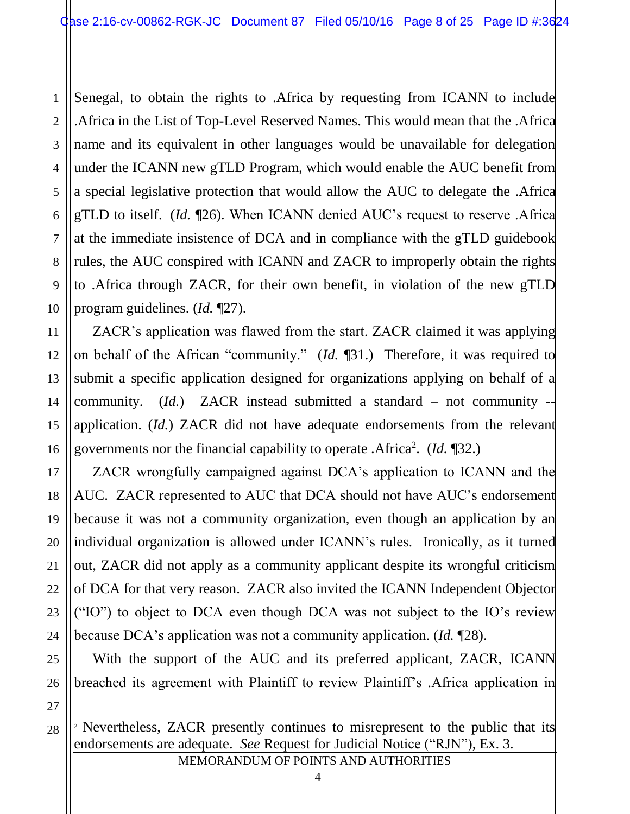2 3 4 5 6 7 8 9 10 Senegal, to obtain the rights to .Africa by requesting from ICANN to include .Africa in the List of Top-Level Reserved Names. This would mean that the .Africa name and its equivalent in other languages would be unavailable for delegation under the ICANN new gTLD Program, which would enable the AUC benefit from a special legislative protection that would allow the AUC to delegate the .Africa gTLD to itself. (*Id.* ¶26). When ICANN denied AUC's request to reserve .Africa at the immediate insistence of DCA and in compliance with the gTLD guidebook rules, the AUC conspired with ICANN and ZACR to improperly obtain the rights to .Africa through ZACR, for their own benefit, in violation of the new gTLD program guidelines. (*Id.* ¶27).

ZACR's application was flawed from the start. ZACR claimed it was applying on behalf of the African "community." (*Id.* ¶31.) Therefore, it was required to submit a specific application designed for organizations applying on behalf of a community. (*Id.*) ZACR instead submitted a standard – not community - application. (*Id.*) ZACR did not have adequate endorsements from the relevant governments nor the financial capability to operate .Africa<sup>2</sup>. (*Id.* 132.)

ZACR wrongfully campaigned against DCA's application to ICANN and the AUC. ZACR represented to AUC that DCA should not have AUC's endorsement because it was not a community organization, even though an application by an individual organization is allowed under ICANN's rules. Ironically, as it turned out, ZACR did not apply as a community applicant despite its wrongful criticism of DCA for that very reason. ZACR also invited the ICANN Independent Objector ("IO") to object to DCA even though DCA was not subject to the IO's review because DCA's application was not a community application. (*Id.* ¶28).

With the support of the AUC and its preferred applicant, ZACR, ICANN breached its agreement with Plaintiff to review Plaintiff's .Africa application in

27

 $\overline{a}$ 

28

1

11

12

13

14

15

16

17

18

19

20

21

22

23

24

25

26

<sup>&</sup>lt;sup>2</sup> Nevertheless, ZACR presently continues to misrepresent to the public that its endorsements are adequate. *See* Request for Judicial Notice ("RJN"), Ex. 3.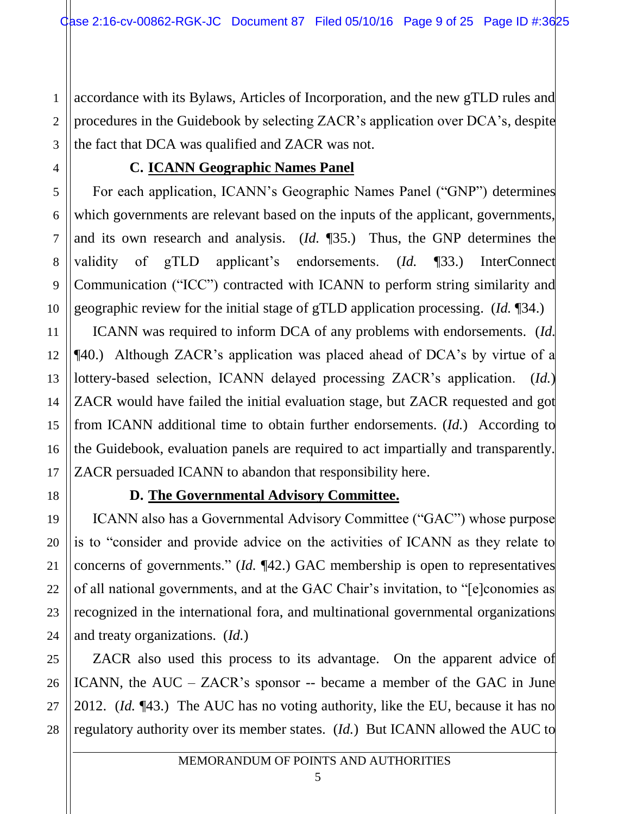1 2 3 accordance with its Bylaws, Articles of Incorporation, and the new gTLD rules and procedures in the Guidebook by selecting ZACR's application over DCA's, despite the fact that DCA was qualified and ZACR was not.

# **C. ICANN Geographic Names Panel**

For each application, ICANN's Geographic Names Panel ("GNP") determines which governments are relevant based on the inputs of the applicant, governments, and its own research and analysis. (*Id.* ¶35.) Thus, the GNP determines the validity of gTLD applicant's endorsements. (*Id.* ¶33.) InterConnect Communication ("ICC") contracted with ICANN to perform string similarity and geographic review for the initial stage of gTLD application processing. (*Id.* ¶34.)

ICANN was required to inform DCA of any problems with endorsements. (*Id.* ¶40.) Although ZACR's application was placed ahead of DCA's by virtue of a lottery-based selection, ICANN delayed processing ZACR's application. (*Id.*) ZACR would have failed the initial evaluation stage, but ZACR requested and got from ICANN additional time to obtain further endorsements. (*Id.*) According to the Guidebook, evaluation panels are required to act impartially and transparently. ZACR persuaded ICANN to abandon that responsibility here.

4

5

6

7

8

9

10

11

12

13

14

15

16

17

18

19

20

21

22

23

24

# **D. The Governmental Advisory Committee.**

ICANN also has a Governmental Advisory Committee ("GAC") whose purpose is to "consider and provide advice on the activities of ICANN as they relate to concerns of governments." (*Id.* ¶42.) GAC membership is open to representatives of all national governments, and at the GAC Chair's invitation, to "[e]conomies as recognized in the international fora, and multinational governmental organizations and treaty organizations. (*Id.*)

25 26 27 28 ZACR also used this process to its advantage. On the apparent advice of ICANN, the AUC – ZACR's sponsor -- became a member of the GAC in June 2012. (*Id.* ¶43.) The AUC has no voting authority, like the EU, because it has no regulatory authority over its member states. (*Id.*) But ICANN allowed the AUC to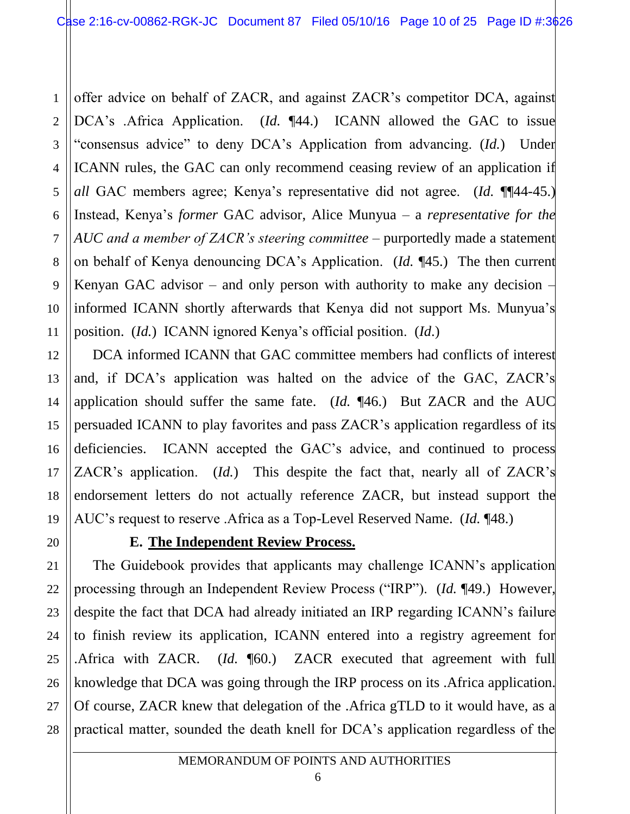1 2 3 4 5 6 7 8 9 10 11 offer advice on behalf of ZACR, and against ZACR's competitor DCA, against DCA's .Africa Application. (*Id.* ¶44.) ICANN allowed the GAC to issue "consensus advice" to deny DCA's Application from advancing. (*Id.*) Under ICANN rules, the GAC can only recommend ceasing review of an application if *all* GAC members agree; Kenya's representative did not agree. (*Id.* ¶¶44-45.) Instead, Kenya's *former* GAC advisor, Alice Munyua – a *representative for the AUC and a member of ZACR's steering committee* – purportedly made a statement on behalf of Kenya denouncing DCA's Application. (*Id.* ¶45.) The then current Kenyan GAC advisor – and only person with authority to make any decision – informed ICANN shortly afterwards that Kenya did not support Ms. Munyua's position. (*Id.*) ICANN ignored Kenya's official position. (*Id*.)

DCA informed ICANN that GAC committee members had conflicts of interest and, if DCA's application was halted on the advice of the GAC, ZACR's application should suffer the same fate. (*Id.* ¶46.) But ZACR and the AUC persuaded ICANN to play favorites and pass ZACR's application regardless of its deficiencies. ICANN accepted the GAC's advice, and continued to process ZACR's application. (*Id.*) This despite the fact that, nearly all of ZACR's endorsement letters do not actually reference ZACR, but instead support the AUC's request to reserve .Africa as a Top-Level Reserved Name. (*Id.* ¶48.)

# **E. The Independent Review Process.**

12

13

14

15

16

17

18

19

20

21

22

23

24

25

26

27

28

The Guidebook provides that applicants may challenge ICANN's application processing through an Independent Review Process ("IRP"). (*Id.* ¶49.) However, despite the fact that DCA had already initiated an IRP regarding ICANN's failure to finish review its application, ICANN entered into a registry agreement for .Africa with ZACR. (*Id.* ¶60.) ZACR executed that agreement with full knowledge that DCA was going through the IRP process on its .Africa application. Of course, ZACR knew that delegation of the .Africa gTLD to it would have, as a practical matter, sounded the death knell for DCA's application regardless of the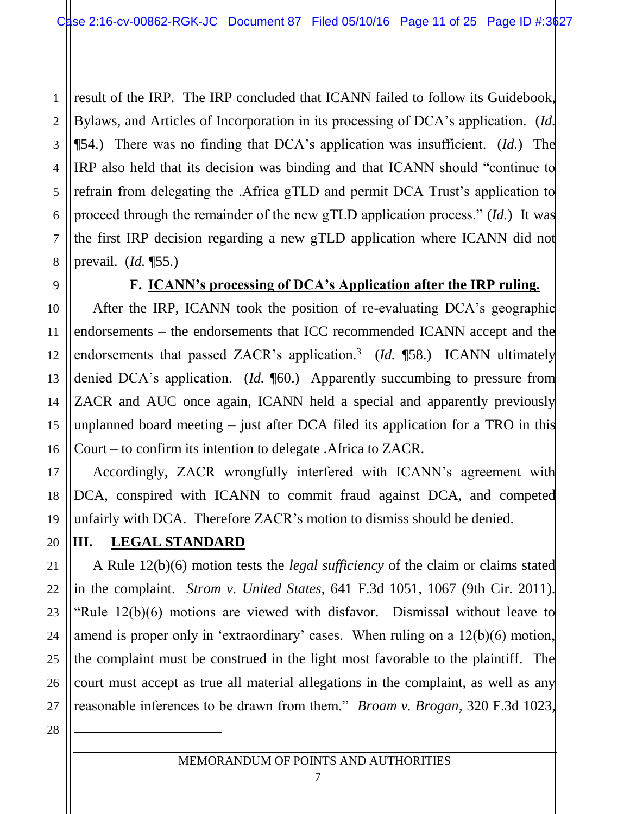1 2 3 4 5 6 7 8 result of the IRP. The IRP concluded that ICANN failed to follow its Guidebook, Bylaws, and Articles of Incorporation in its processing of DCA's application. (*Id.* ¶54.) There was no finding that DCA's application was insufficient. (*Id.*) The IRP also held that its decision was binding and that ICANN should "continue to refrain from delegating the .Africa gTLD and permit DCA Trust's application to proceed through the remainder of the new gTLD application process." (*Id.*) It was the first IRP decision regarding a new gTLD application where ICANN did not prevail. (*Id.* ¶55.)

9

10

11

12

13

14

15

16

17

18

#### **F. ICANN's processing of DCA's Application after the IRP ruling.**

After the IRP, ICANN took the position of re-evaluating DCA's geographic endorsements – the endorsements that ICC recommended ICANN accept and the endorsements that passed ZACR's application.<sup>3</sup> (*Id.* ¶58.) ICANN ultimately denied DCA's application. (*Id.* **[60.**) Apparently succumbing to pressure from ZACR and AUC once again, ICANN held a special and apparently previously unplanned board meeting – just after DCA filed its application for a TRO in this Court – to confirm its intention to delegate .Africa to ZACR.

Accordingly, ZACR wrongfully interfered with ICANN's agreement with DCA, conspired with ICANN to commit fraud against DCA, and competed unfairly with DCA. Therefore ZACR's motion to dismiss should be denied.

# **III. LEGAL STANDARD**

A Rule 12(b)(6) motion tests the *legal sufficiency* of the claim or claims stated in the complaint. *Strom v. United States*, 641 F.3d 1051, 1067 (9th Cir. 2011). "Rule 12(b)(6) motions are viewed with disfavor. Dismissal without leave to amend is proper only in 'extraordinary' cases. When ruling on a 12(b)(6) motion, the complaint must be construed in the light most favorable to the plaintiff. The court must accept as true all material allegations in the complaint, as well as any reasonable inferences to be drawn from them." *Broam v. Brogan*, 320 F.3d 1023,

 $\overline{a}$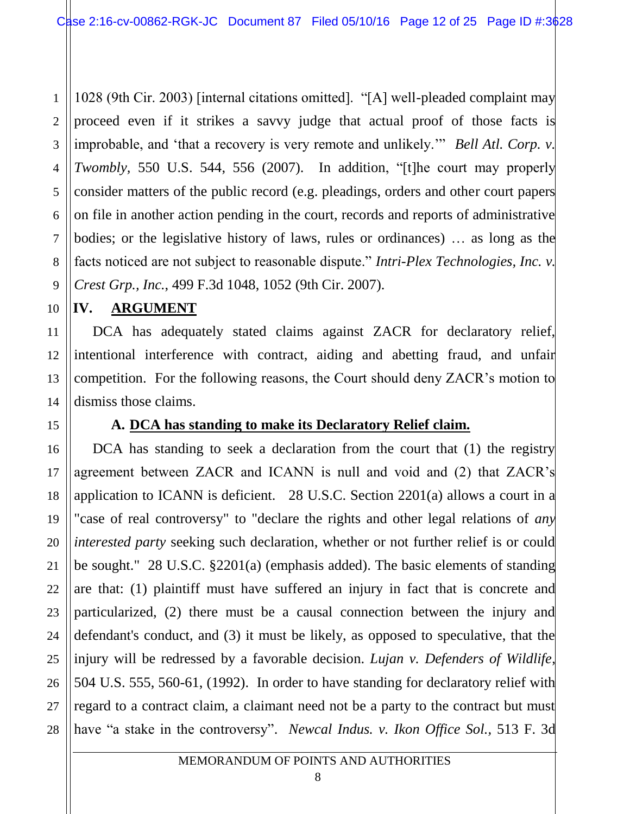1 2 3 4 5 6 7 8 9 1028 (9th Cir. 2003) [internal citations omitted]. "[A] well-pleaded complaint may proceed even if it strikes a savvy judge that actual proof of those facts is improbable, and 'that a recovery is very remote and unlikely.'" *Bell Atl. Corp. v. Twombly*, 550 U.S. 544, 556 (2007). In addition, "[t]he court may properly consider matters of the public record (e.g. pleadings, orders and other court papers on file in another action pending in the court, records and reports of administrative bodies; or the legislative history of laws, rules or ordinances) … as long as the facts noticed are not subject to reasonable dispute." *Intri-Plex Technologies, Inc. v. Crest Grp., Inc.*, 499 F.3d 1048, 1052 (9th Cir. 2007).

#### **IV. ARGUMENT**

10

11

15

17

18

19

20

21

22

23

24

25

27

12 13 14 DCA has adequately stated claims against ZACR for declaratory relief, intentional interference with contract, aiding and abetting fraud, and unfair competition. For the following reasons, the Court should deny ZACR's motion to dismiss those claims.

# **A. DCA has standing to make its Declaratory Relief claim.**

16 26 28 DCA has standing to seek a declaration from the court that (1) the registry agreement between ZACR and ICANN is null and void and (2) that ZACR's application to ICANN is deficient. 28 U.S.C. Section 2201(a) allows a court in a "case of real controversy" to "declare the rights and other legal relations of *any interested party* seeking such declaration, whether or not further relief is or could be sought." 28 U.S.C. §2201(a) (emphasis added). The basic elements of standing are that: (1) plaintiff must have suffered an injury in fact that is concrete and particularized, (2) there must be a causal connection between the injury and defendant's conduct, and (3) it must be likely, as opposed to speculative, that the injury will be redressed by a favorable decision. *Lujan v. Defenders of Wildlife*, 504 U.S. 555, 560-61, (1992). In order to have standing for declaratory relief with regard to a contract claim, a claimant need not be a party to the contract but must have "a stake in the controversy". *Newcal Indus. v. Ikon Office Sol.,* 513 F. 3d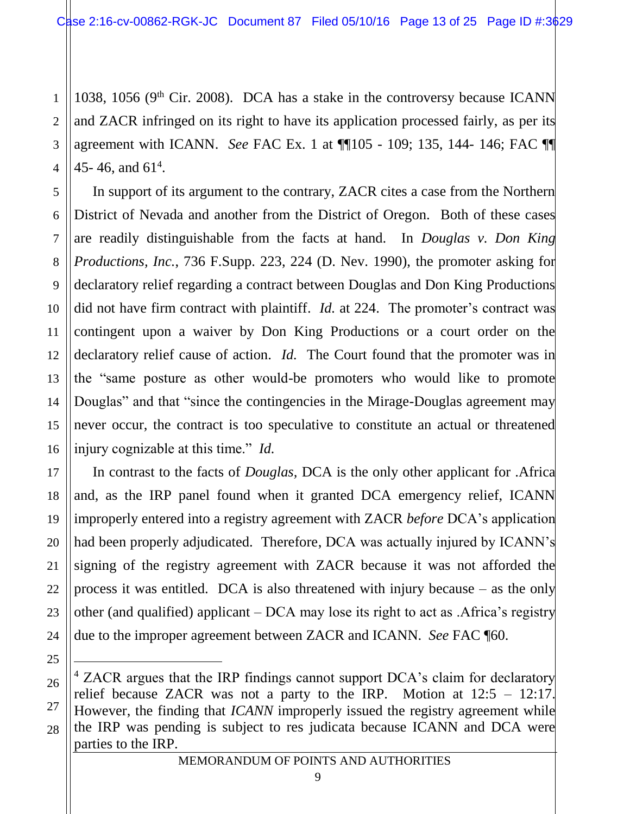1 2 3 4 1038, 1056 (9<sup>th</sup> Cir. 2008). DCA has a stake in the controversy because ICANN and ZACR infringed on its right to have its application processed fairly, as per its agreement with ICANN. *See* FAC Ex. 1 at ¶¶105 - 109; 135, 144- 146; FAC ¶¶ 45-46, and  $61^4$ .

In support of its argument to the contrary, ZACR cites a case from the Northern District of Nevada and another from the District of Oregon. Both of these cases are readily distinguishable from the facts at hand. In *Douglas v. Don King Productions, Inc.*, 736 F.Supp. 223, 224 (D. Nev. 1990), the promoter asking for declaratory relief regarding a contract between Douglas and Don King Productions did not have firm contract with plaintiff. *Id.* at 224. The promoter's contract was contingent upon a waiver by Don King Productions or a court order on the declaratory relief cause of action. *Id.* The Court found that the promoter was in the "same posture as other would-be promoters who would like to promote Douglas" and that "since the contingencies in the Mirage-Douglas agreement may never occur, the contract is too speculative to constitute an actual or threatened injury cognizable at this time." *Id.*

In contrast to the facts of *Douglas,* DCA is the only other applicant for .Africa and, as the IRP panel found when it granted DCA emergency relief, ICANN improperly entered into a registry agreement with ZACR *before* DCA's application had been properly adjudicated. Therefore, DCA was actually injured by ICANN's signing of the registry agreement with ZACR because it was not afforded the process it was entitled. DCA is also threatened with injury because – as the only other (and qualified) applicant – DCA may lose its right to act as .Africa's registry due to the improper agreement between ZACR and ICANN. *See* FAC ¶60.

 $\overline{a}$ 

5

6

7

8

9

10

11

12

13

14

15

16

17

18

19

20

<sup>28</sup> <sup>4</sup> ZACR argues that the IRP findings cannot support DCA's claim for declaratory relief because ZACR was not a party to the IRP. Motion at 12:5 – 12:17. However, the finding that *ICANN* improperly issued the registry agreement while the IRP was pending is subject to res judicata because ICANN and DCA were parties to the IRP.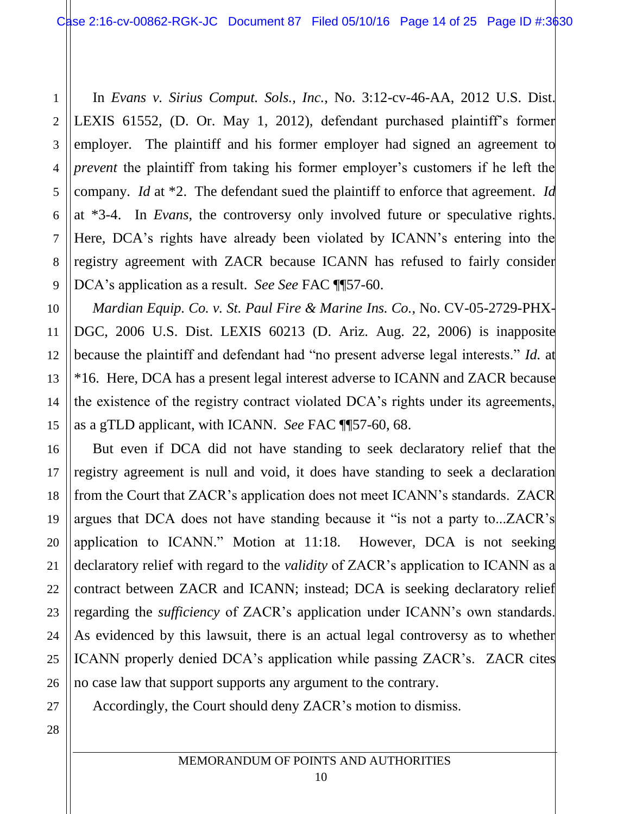3 4 6 8 9 In *Evans v. Sirius Comput. Sols., Inc.*, No. 3:12-cv-46-AA, 2012 U.S. Dist. LEXIS 61552, (D. Or. May 1, 2012), defendant purchased plaintiff's former employer. The plaintiff and his former employer had signed an agreement to *prevent* the plaintiff from taking his former employer's customers if he left the company. *Id* at \*2. The defendant sued the plaintiff to enforce that agreement. *Id*  at \*3-4. In *Evans,* the controversy only involved future or speculative rights. Here, DCA's rights have already been violated by ICANN's entering into the registry agreement with ZACR because ICANN has refused to fairly consider DCA's application as a result. *See See* FAC ¶¶57-60.

*Mardian Equip. Co. v. St. Paul Fire & Marine Ins. Co.*, No. CV-05-2729-PHX-DGC, 2006 U.S. Dist. LEXIS 60213 (D. Ariz. Aug. 22, 2006) is inapposite because the plaintiff and defendant had "no present adverse legal interests." *Id.* at \*16. Here, DCA has a present legal interest adverse to ICANN and ZACR because the existence of the registry contract violated DCA's rights under its agreements, as a gTLD applicant, with ICANN. *See* FAC ¶¶57-60, 68.

16 26 But even if DCA did not have standing to seek declaratory relief that the registry agreement is null and void, it does have standing to seek a declaration from the Court that ZACR's application does not meet ICANN's standards. ZACR argues that DCA does not have standing because it "is not a party to...ZACR's application to ICANN." Motion at 11:18. However, DCA is not seeking declaratory relief with regard to the *validity* of ZACR's application to ICANN as a contract between ZACR and ICANN; instead; DCA is seeking declaratory relief regarding the *sufficiency* of ZACR's application under ICANN's own standards. As evidenced by this lawsuit, there is an actual legal controversy as to whether ICANN properly denied DCA's application while passing ZACR's. ZACR cites no case law that support supports any argument to the contrary.

Accordingly, the Court should deny ZACR's motion to dismiss.

27 28

1

2

5

7

10

11

12

13

14

15

17

18

19

20

21

22

23

24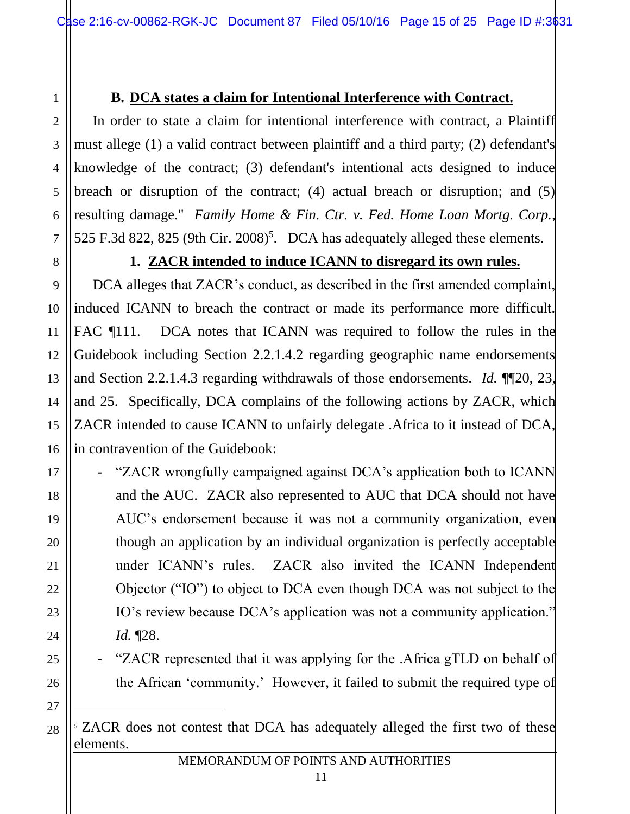# **B. DCA states a claim for Intentional Interference with Contract.**

In order to state a claim for intentional interference with contract, a Plaintiff must allege (1) a valid contract between plaintiff and a third party; (2) defendant's knowledge of the contract; (3) defendant's intentional acts designed to induce breach or disruption of the contract; (4) actual breach or disruption; and (5) resulting damage." *[Family Home & Fin. Ctr.](https://advance.lexis.com/search/?pdmfid=1000516&crid=b0cc29f0-ef23-4b2a-a0ce-57ef86ecd94c&pdstartin=hlct%3A1%3A12&pdtypeofsearch=searchboxclick&pdsearchterms=2013+U.S.+Dist.+LEXIS+16896&pdsearchtype=SearchBox&pdqttype=and&pdpsf=&ecomp=-_gdk&earg=pdpsf&prid=7a33cbb6-ab8f-4bfd-8177-8e6282e26622) v. Fed. Home Loan Mortg. Corp.*, [525 F.3d 822, 825 \(9th Cir. 2008\)](https://advance.lexis.com/search/?pdmfid=1000516&crid=b0cc29f0-ef23-4b2a-a0ce-57ef86ecd94c&pdstartin=hlct%3A1%3A12&pdtypeofsearch=searchboxclick&pdsearchterms=2013+U.S.+Dist.+LEXIS+16896&pdsearchtype=SearchBox&pdqttype=and&pdpsf=&ecomp=-_gdk&earg=pdpsf&prid=7a33cbb6-ab8f-4bfd-8177-8e6282e26622)<sup>5</sup>. DCA has adequately alleged these elements.

1

2

3

4

5

6

7

8

9

10

11

12

13

14

15

16

17

18

19

20

21

22

23

24

25

# **1. ZACR intended to induce ICANN to disregard its own rules.**

DCA alleges that ZACR's conduct, as described in the first amended complaint, induced ICANN to breach the contract or made its performance more difficult. FAC ¶111.DCA notes that ICANN was required to follow the rules in the Guidebook including Section 2.2.1.4.2 regarding geographic name endorsements and Section 2.2.1.4.3 regarding withdrawals of those endorsements. *Id.* ¶¶20, 23, and 25. Specifically, DCA complains of the following actions by ZACR, which ZACR intended to cause ICANN to unfairly delegate .Africa to it instead of DCA, in contravention of the Guidebook:

- "ZACR wrongfully campaigned against DCA's application both to ICANN and the AUC. ZACR also represented to AUC that DCA should not have AUC's endorsement because it was not a community organization, even though an application by an individual organization is perfectly acceptable under ICANN's rules. ZACR also invited the ICANN Independent Objector ("IO") to object to DCA even though DCA was not subject to the IO's review because DCA's application was not a community application." *Id.* ¶28.

- "ZACR represented that it was applying for the .Africa gTLD on behalf of the African 'community.' However, it failed to submit the required type of

26 27

 $\overline{a}$ 

<sup>&</sup>lt;sup>5</sup> ZACR does not contest that DCA has adequately alleged the first two of these elements.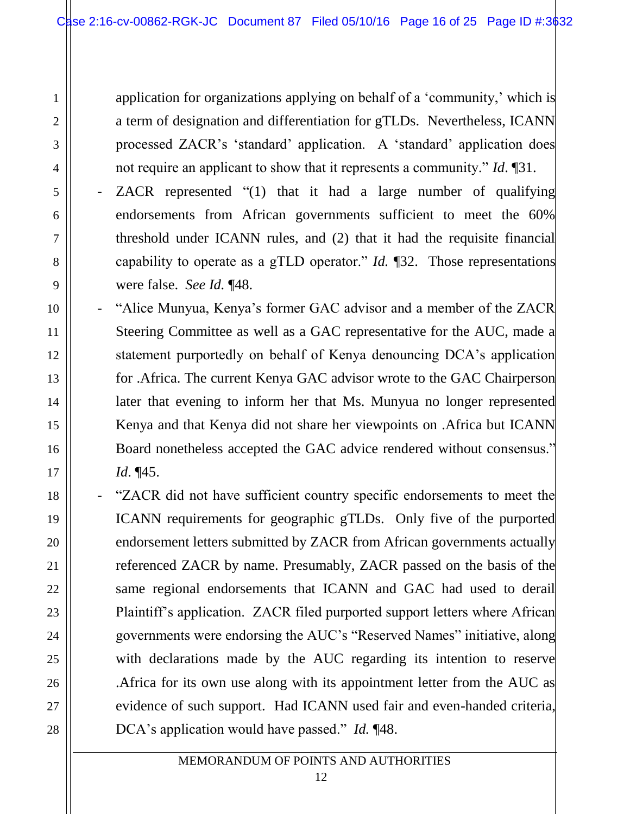1

2

3

4

5

6

7

8

9

10

11

12

13

14

15

16

17

18

19

20

21

22

23

24

25

26

27

28

application for organizations applying on behalf of a 'community,' which is a term of designation and differentiation for gTLDs. Nevertheless, ICANN processed ZACR's 'standard' application. A 'standard' application does not require an applicant to show that it represents a community." *Id*. ¶31.

- ZACR represented "(1) that it had a large number of qualifying endorsements from African governments sufficient to meet the 60% threshold under ICANN rules, and (2) that it had the requisite financial capability to operate as a gTLD operator." *Id.* ¶32. Those representations were false. *See Id.* ¶48.
- "Alice Munyua, Kenya's former GAC advisor and a member of the ZACR Steering Committee as well as a GAC representative for the AUC, made a statement purportedly on behalf of Kenya denouncing DCA's application for .Africa. The current Kenya GAC advisor wrote to the GAC Chairperson later that evening to inform her that Ms. Munyua no longer represented Kenya and that Kenya did not share her viewpoints on .Africa but ICANN Board nonetheless accepted the GAC advice rendered without consensus." *Id*. ¶45.
	- "ZACR did not have sufficient country specific endorsements to meet the ICANN requirements for geographic gTLDs. Only five of the purported endorsement letters submitted by ZACR from African governments actually referenced ZACR by name. Presumably, ZACR passed on the basis of the same regional endorsements that ICANN and GAC had used to derail Plaintiff's application. ZACR filed purported support letters where African governments were endorsing the AUC's "Reserved Names" initiative, along with declarations made by the AUC regarding its intention to reserve .Africa for its own use along with its appointment letter from the AUC as evidence of such support. Had ICANN used fair and even-handed criteria, DCA's application would have passed." *Id.* ¶48.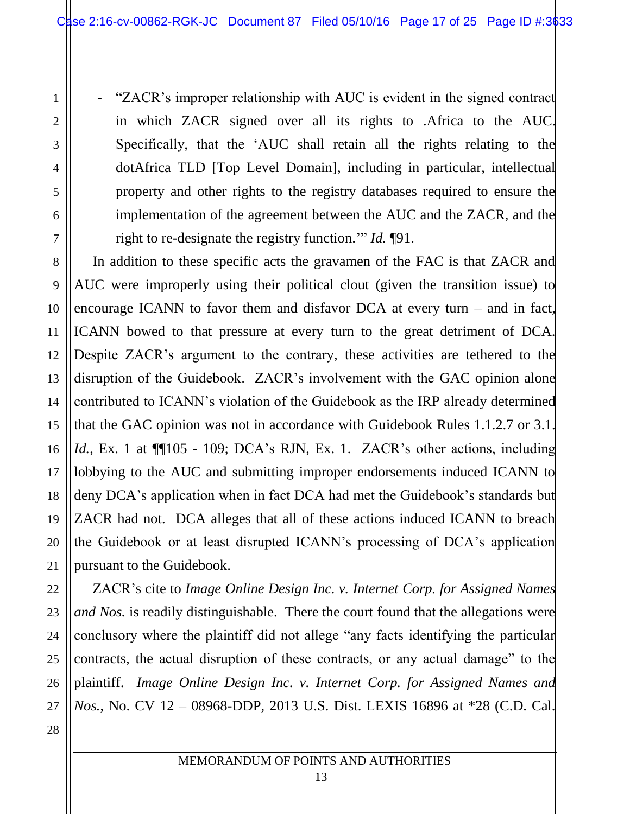1

2

3

4

5

6

7

8

9

10

11

12

13

14

15

16

17

18

19

20

21

"ZACR's improper relationship with AUC is evident in the signed contract in which ZACR signed over all its rights to .Africa to the AUC. Specifically, that the 'AUC shall retain all the rights relating to the dotAfrica TLD [Top Level Domain], including in particular, intellectual property and other rights to the registry databases required to ensure the implementation of the agreement between the AUC and the ZACR, and the right to re-designate the registry function.'" *Id.* ¶91.

In addition to these specific acts the gravamen of the FAC is that ZACR and AUC were improperly using their political clout (given the transition issue) to encourage ICANN to favor them and disfavor DCA at every turn – and in fact, ICANN bowed to that pressure at every turn to the great detriment of DCA. Despite ZACR's argument to the contrary, these activities are tethered to the disruption of the Guidebook. ZACR's involvement with the GAC opinion alone contributed to ICANN's violation of the Guidebook as the IRP already determined that the GAC opinion was not in accordance with Guidebook Rules 1.1.2.7 or 3.1. *Id.*, Ex. 1 at  $\P$ [105 - 109; DCA's RJN, Ex. 1. ZACR's other actions, including lobbying to the AUC and submitting improper endorsements induced ICANN to deny DCA's application when in fact DCA had met the Guidebook's standards but ZACR had not. DCA alleges that all of these actions induced ICANN to breach the Guidebook or at least disrupted ICANN's processing of DCA's application pursuant to the Guidebook.

22 23 24 25 26 27 28 ZACR's cite to *Image Online Design Inc. v. Internet Corp. for Assigned Names and Nos.* is readily distinguishable. There the court found that the allegations were conclusory where the plaintiff did not allege "any facts identifying the particular contracts, the actual disruption of these contracts, or any actual damage" to the plaintiff. *Image Online Design Inc. v. Internet Corp. for Assigned Names and Nos.*, No. CV 12 – 08968-DDP, 2013 U.S. Dist. LEXIS 16896 at \*28 (C.D. Cal.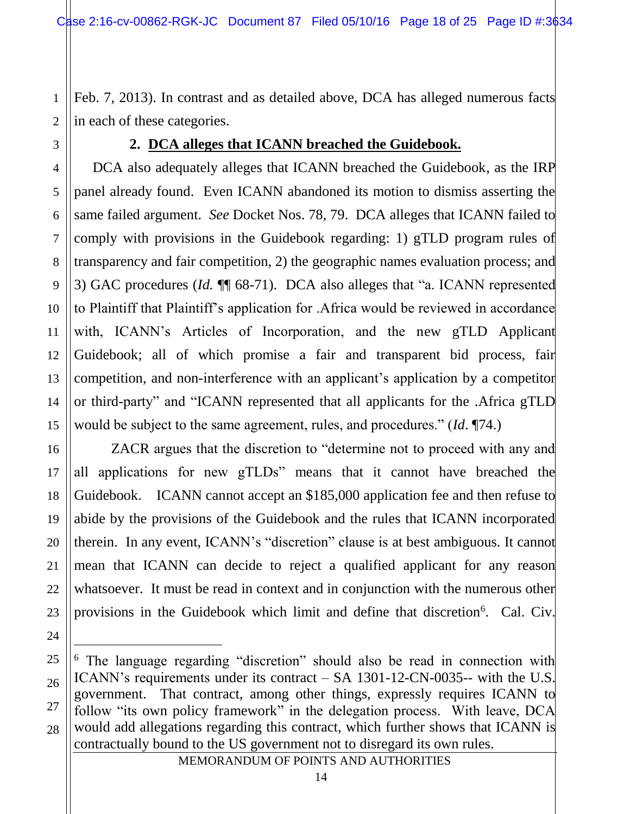1 2 Feb. 7, 2013). In contrast and as detailed above, DCA has alleged numerous facts in each of these categories.

3

4

5

6

7

8

9

10

11

12

13

14

15

16

17

18

19

20

21

22

23

24

 $\overline{a}$ 

# **2. DCA alleges that ICANN breached the Guidebook.**

DCA also adequately alleges that ICANN breached the Guidebook, as the IRP panel already found. Even ICANN abandoned its motion to dismiss asserting the same failed argument. *See* Docket Nos. 78, 79. DCA alleges that ICANN failed to comply with provisions in the Guidebook regarding: 1) gTLD program rules of transparency and fair competition, 2) the geographic names evaluation process; and 3) GAC procedures (*Id.* ¶¶ 68-71). DCA also alleges that "a. ICANN represented to Plaintiff that Plaintiff's application for .Africa would be reviewed in accordance with, ICANN's Articles of Incorporation, and the new gTLD Applicant Guidebook; all of which promise a fair and transparent bid process, fair competition, and non-interference with an applicant's application by a competitor or third-party" and "ICANN represented that all applicants for the .Africa gTLD would be subject to the same agreement, rules, and procedures." (*Id*. ¶74.)

ZACR argues that the discretion to "determine not to proceed with any and all applications for new gTLDs" means that it cannot have breached the Guidebook. ICANN cannot accept an \$185,000 application fee and then refuse to abide by the provisions of the Guidebook and the rules that ICANN incorporated therein. In any event, ICANN's "discretion" clause is at best ambiguous. It cannot mean that ICANN can decide to reject a qualified applicant for any reason whatsoever. It must be read in context and in conjunction with the numerous other provisions in the Guidebook which limit and define that discretion<sup>6</sup>. Cal. Civ.

<sup>25</sup> 26 27 28 <sup>6</sup> The language regarding "discretion" should also be read in connection with ICANN's requirements under its contract – SA 1301-12-CN-0035-- with the U.S. government. That contract, among other things, expressly requires ICANN to follow "its own policy framework" in the delegation process. With leave, DCA would add allegations regarding this contract, which further shows that ICANN is contractually bound to the US government not to disregard its own rules.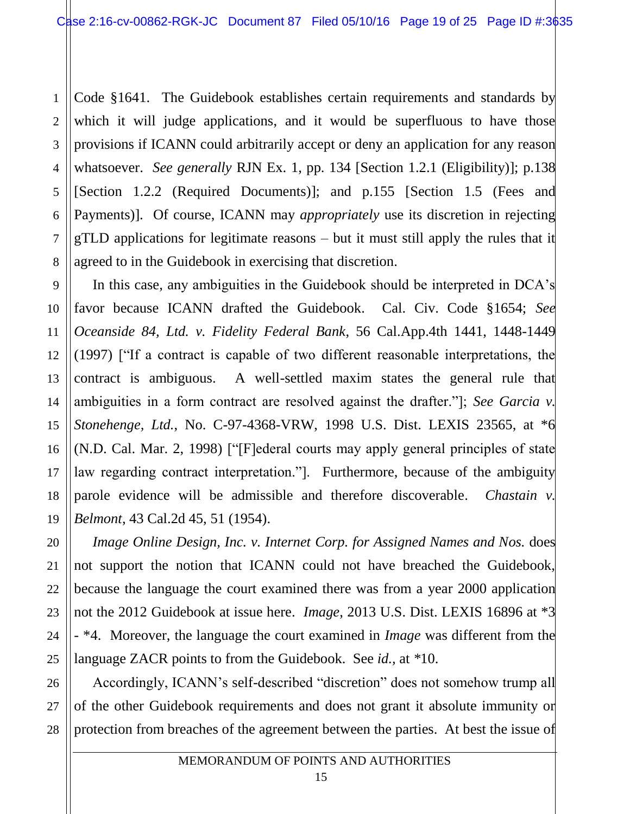1 2 3 4 5 6 7 8 Code §1641. The Guidebook establishes certain requirements and standards by which it will judge applications, and it would be superfluous to have those provisions if ICANN could arbitrarily accept or deny an application for any reason whatsoever. *See generally* RJN Ex. 1, pp. 134 [Section 1.2.1 (Eligibility)]; p.138 [Section 1.2.2 (Required Documents)]; and p.155 [Section 1.5 (Fees and Payments)]. Of course, ICANN may *appropriately* use its discretion in rejecting gTLD applications for legitimate reasons – but it must still apply the rules that it agreed to in the Guidebook in exercising that discretion.

14 In this case, any ambiguities in the Guidebook should be interpreted in DCA's favor because ICANN drafted the Guidebook. Cal. Civ. Code §1654; *See Oceanside 84, Ltd. v. Fidelity Federal Bank*, 56 Cal.App.4th 1441, 1448-1449 (1997) ["If a contract is capable of two different reasonable interpretations, the contract is ambiguous. A well-settled maxim states the general rule that ambiguities in a form contract are resolved against the drafter."]; *See Garcia v. Stonehenge, Ltd.*, No. C-97-4368-VRW, 1998 U.S. Dist. LEXIS 23565, at \*6 (N.D. Cal. Mar. 2, 1998) ["[F]ederal courts may apply general principles of state law regarding contract interpretation."]. Furthermore, because of the ambiguity parole evidence will be admissible and therefore discoverable. *Chastain v. Belmont*, 43 Cal.2d 45, 51 (1954).

*Image Online Design, Inc. v. Internet Corp. for Assigned Names and Nos.* does not support the notion that ICANN could not have breached the Guidebook, because the language the court examined there was from a year 2000 application not the 2012 Guidebook at issue here. *Image*, 2013 U.S. Dist. LEXIS 16896 at \*3 - \*4. Moreover, the language the court examined in *Image* was different from the language ZACR points to from the Guidebook. See *id.,* at *\**10.

26 27 28 Accordingly, ICANN's self-described "discretion" does not somehow trump all of the other Guidebook requirements and does not grant it absolute immunity or protection from breaches of the agreement between the parties. At best the issue of

9

10

11

12

13

15

16

17

18

19

20

21

22

23

24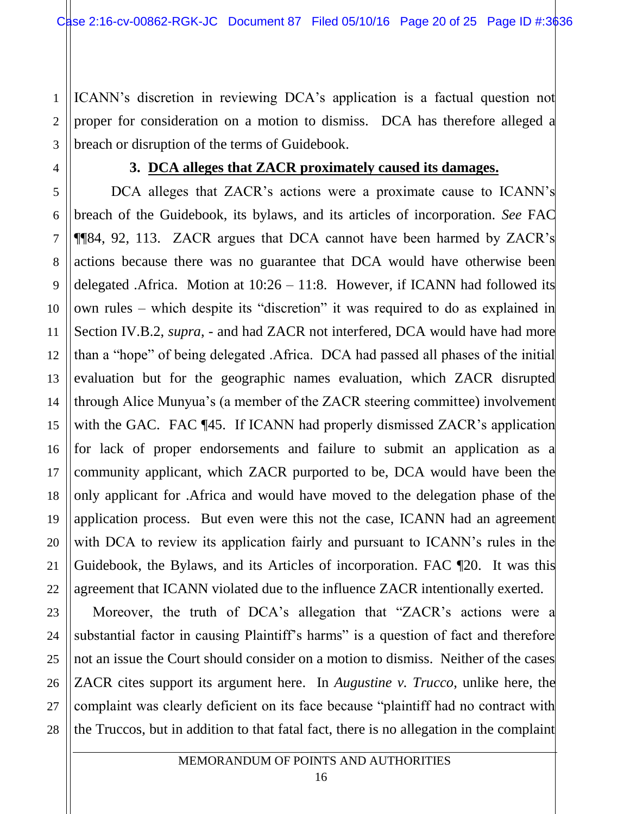ICANN's discretion in reviewing DCA's application is a factual question not proper for consideration on a motion to dismiss. DCA has therefore alleged a breach or disruption of the terms of Guidebook.

1

2

3

4

5

6

7

8

9

10

11

12

13

15

16

17

18

19

20

21

22

23

24

25

26

27

28

### **3. DCA alleges that ZACR proximately caused its damages.**

14 DCA alleges that ZACR's actions were a proximate cause to ICANN's breach of the Guidebook, its bylaws, and its articles of incorporation. *See* FAC ¶¶84, 92, 113. ZACR argues that DCA cannot have been harmed by ZACR's actions because there was no guarantee that DCA would have otherwise been delegated .Africa. Motion at  $10:26 - 11:8$ . However, if ICANN had followed its own rules – which despite its "discretion" it was required to do as explained in Section IV.B.2, *supra*, - and had ZACR not interfered, DCA would have had more than a "hope" of being delegated .Africa. DCA had passed all phases of the initial evaluation but for the geographic names evaluation, which ZACR disrupted through Alice Munyua's (a member of the ZACR steering committee) involvement with the GAC. FAC ¶45. If ICANN had properly dismissed ZACR's application for lack of proper endorsements and failure to submit an application as a community applicant, which ZACR purported to be, DCA would have been the only applicant for .Africa and would have moved to the delegation phase of the application process. But even were this not the case, ICANN had an agreement with DCA to review its application fairly and pursuant to ICANN's rules in the Guidebook, the Bylaws, and its Articles of incorporation. FAC ¶20. It was this agreement that ICANN violated due to the influence ZACR intentionally exerted.

Moreover, the truth of DCA's allegation that "ZACR's actions were a substantial factor in causing Plaintiff's harms" is a question of fact and therefore not an issue the Court should consider on a motion to dismiss. Neither of the cases ZACR cites support its argument here. In *Augustine v. Trucco*, unlike here, the complaint was clearly deficient on its face because "plaintiff had no contract with the Truccos, but in addition to that fatal fact, there is no allegation in the complaint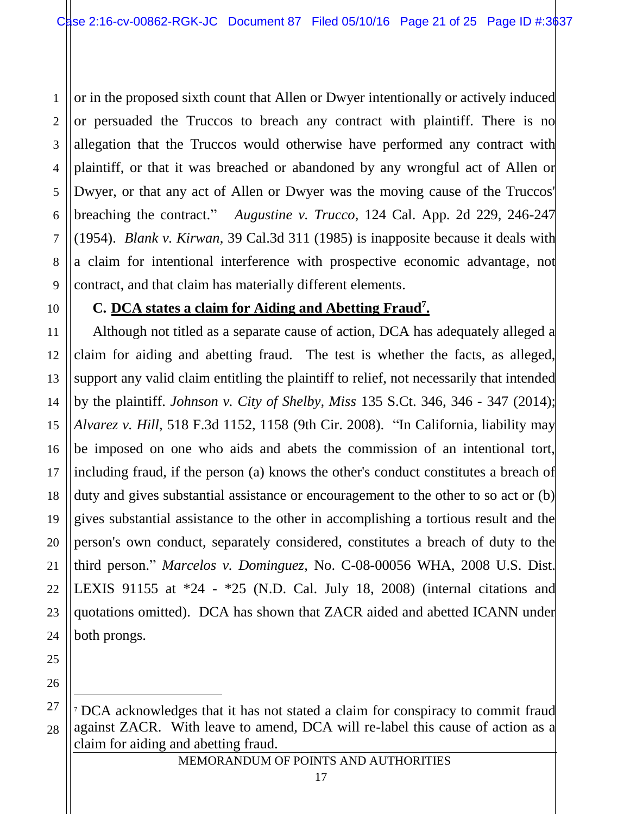1 2 3 4 5 6 7 8 9 or in the proposed sixth count that Allen or Dwyer intentionally or actively induced or persuaded the Truccos to breach any contract with plaintiff. There is no allegation that the Truccos would otherwise have performed any contract with plaintiff, or that it was breached or abandoned by any wrongful act of Allen or Dwyer, or that any act of Allen or Dwyer was the moving cause of the Truccos' breaching the contract." *Augustine v. Trucco*, 124 Cal. App. 2d 229, 246-247 (1954). *Blank v. Kirwan*, 39 Cal.3d 311 (1985) is inapposite because it deals with a claim for intentional interference with prospective economic advantage, not contract, and that claim has materially different elements.

10

# **C. DCA states a claim for Aiding and Abetting Fraud<sup>7</sup> .**

11 12 13 14 15 16 17 18 19 20 21 22 23 Although not titled as a separate cause of action, DCA has adequately alleged a claim for aiding and abetting fraud. The test is whether the facts, as alleged, support any valid claim entitling the plaintiff to relief, not necessarily that intended by the plaintiff. *Johnson v. City of Shelby, Miss* 135 S.Ct. 346, 346 - 347 (2014); *Alvarez v. Hill*, 518 F.3d 1152, 1158 (9th Cir. 2008). "In California, liability may be imposed on one who aids and abets the commission of an intentional tort, including fraud, if the person (a) knows the other's conduct constitutes a breach of duty and gives substantial assistance or encouragement to the other to so act or (b) gives substantial assistance to the other in accomplishing a tortious result and the person's own conduct, separately considered, constitutes a breach of duty to the third person." *Marcelos v. Dominguez*, No. C-08-00056 WHA, 2008 U.S. Dist. LEXIS 91155 at \*24 - \*25 (N.D. Cal. July 18, 2008) (internal citations and quotations omitted). DCA has shown that ZACR aided and abetted ICANN under both prongs.

 $\overline{a}$ 

<sup>28</sup> <sup>7</sup> DCA acknowledges that it has not stated a claim for conspiracy to commit fraud against ZACR. With leave to amend, DCA will re-label this cause of action as a claim for aiding and abetting fraud.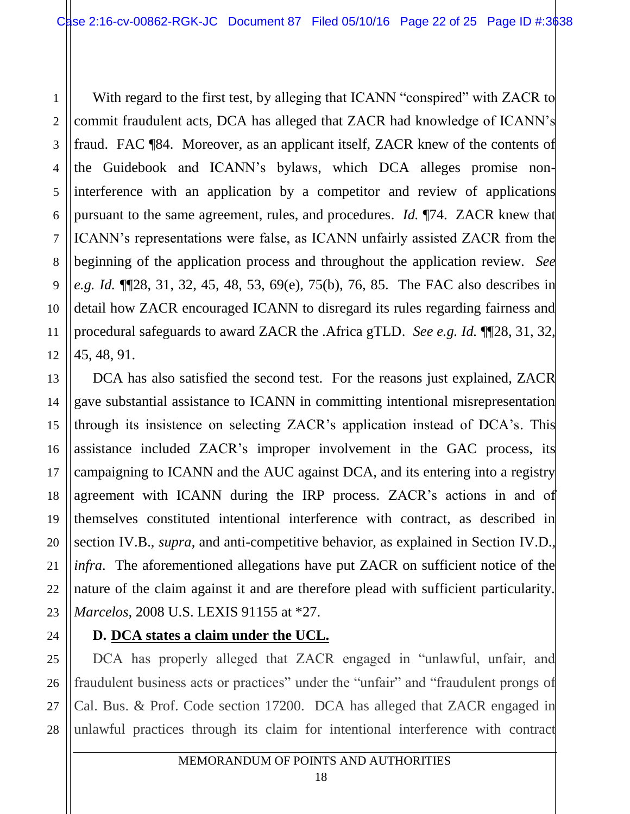With regard to the first test, by alleging that ICANN "conspired" with ZACR to commit fraudulent acts, DCA has alleged that ZACR had knowledge of ICANN's fraud. FAC ¶84. Moreover, as an applicant itself, ZACR knew of the contents of the Guidebook and ICANN's bylaws, which DCA alleges promise noninterference with an application by a competitor and review of applications pursuant to the same agreement, rules, and procedures. *Id.* ¶74. ZACR knew that ICANN's representations were false, as ICANN unfairly assisted ZACR from the beginning of the application process and throughout the application review. *See e.g. Id.* ¶¶28, 31, 32, 45, 48, 53, 69(e), 75(b), 76, 85. The FAC also describes in detail how ZACR encouraged ICANN to disregard its rules regarding fairness and procedural safeguards to award ZACR the .Africa gTLD. *See e.g. Id.* ¶¶28, 31, 32, 45, 48, 91.

DCA has also satisfied the second test. For the reasons just explained, ZACR gave substantial assistance to ICANN in committing intentional misrepresentation through its insistence on selecting ZACR's application instead of DCA's. This assistance included ZACR's improper involvement in the GAC process, its campaigning to ICANN and the AUC against DCA, and its entering into a registry agreement with ICANN during the IRP process. ZACR's actions in and of themselves constituted intentional interference with contract, as described in section IV.B., *supra*, and anti-competitive behavior, as explained in Section IV.D., *infra*. The aforementioned allegations have put ZACR on sufficient notice of the nature of the claim against it and are therefore plead with sufficient particularity. *Marcelos,* 2008 U.S. LEXIS 91155 at \*27.

# 24

1

2

3

4

5

6

7

8

9

10

11

12

13

14

15

16

17

18

19

20

21

22

23

# **D. DCA states a claim under the UCL.**

25 26 27 28 DCA has properly alleged that ZACR engaged in "unlawful, unfair, and fraudulent business acts or practices" under the "unfair" and "fraudulent prongs of Cal. Bus. & Prof. Code section 17200. DCA has alleged that ZACR engaged in unlawful practices through its claim for intentional interference with contract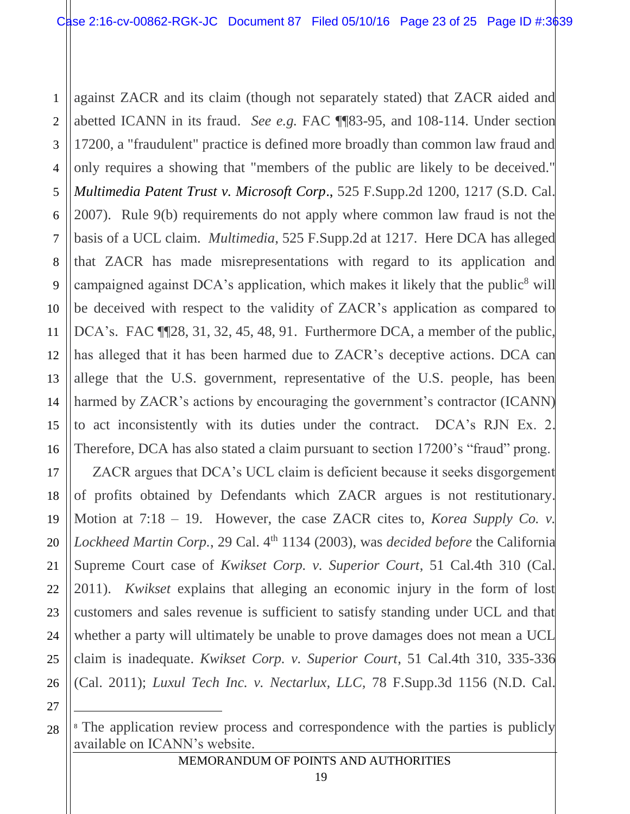1 2 3 4 5 6 7 8 9 10 11 12 13 14 15 16 17 18 19 20 21 22 23 24 25 26 against ZACR and its claim (though not separately stated) that ZACR aided and abetted ICANN in its fraud. *See e.g.* FAC ¶¶83-95, and 108-114. Under section 17200, a "fraudulent" practice is defined more broadly than common law fraud and only requires a showing that "members of the public are likely to be deceived." *Multimedia Patent Trust v. Microsoft Corp*., 525 F.Supp.2d 1200, 1217 (S.D. Cal. 2007). Rule 9(b) requirements do not apply where common law fraud is not the basis of a UCL claim. *Multimedia*, 525 F.Supp.2d at 1217. Here DCA has alleged that ZACR has made misrepresentations with regard to its application and campaigned against DCA's application, which makes it likely that the public<sup>8</sup> will be deceived with respect to the validity of ZACR's application as compared to DCA's. FAC ¶¶28, 31, 32, 45, 48, 91. Furthermore DCA, a member of the public, has alleged that it has been harmed due to ZACR's deceptive actions. DCA can allege that the U.S. government, representative of the U.S. people, has been harmed by ZACR's actions by encouraging the government's contractor (ICANN) to act inconsistently with its duties under the contract. DCA's RJN Ex. 2. Therefore, DCA has also stated a claim pursuant to section 17200's "fraud" prong. ZACR argues that DCA's UCL claim is deficient because it seeks disgorgement of profits obtained by Defendants which ZACR argues is not restitutionary. Motion at 7:18 – 19. However, the case ZACR cites to, *Korea Supply Co. v.* Lockheed Martin Corp., 29 Cal. 4<sup>th</sup> 1134 (2003), was *decided before* the California Supreme Court case of *Kwikset Corp. v. Superior Court*, 51 Cal.4th 310 (Cal. 2011). *Kwikset* explains that alleging an economic injury in the form of lost customers and sales revenue is sufficient to satisfy standing under UCL and that whether a party will ultimately be unable to prove damages does not mean a UCL claim is inadequate. *Kwikset Corp. v. Superior Court*, 51 Cal.4th 310, 335-336 (Cal. 2011); *Luxul Tech Inc. v. Nectarlux, LLC,* 78 F.Supp.3d 1156 (N.D. Cal.

27

 $\overline{a}$ 

<sup>28</sup> <sup>8</sup> The application review process and correspondence with the parties is publicly available on ICANN's website.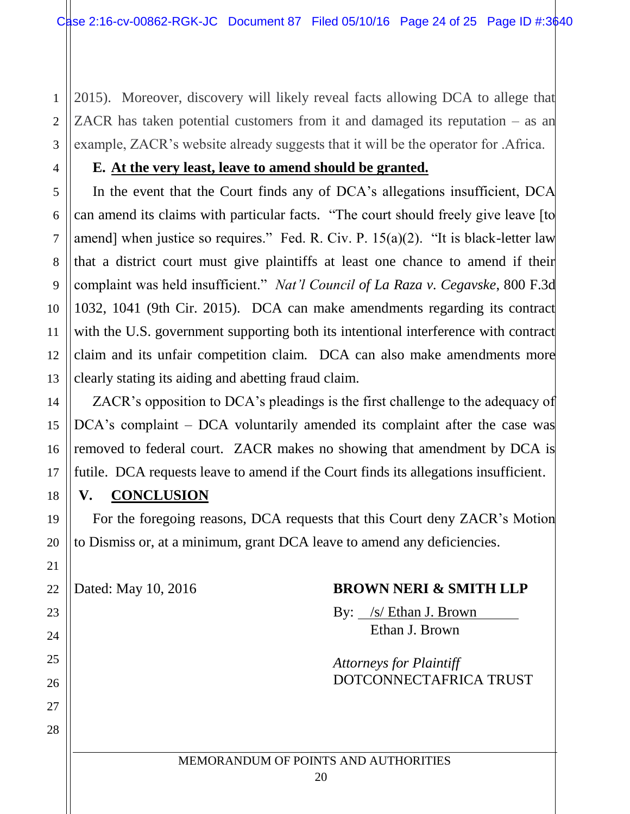1 2 3 2015). Moreover, discovery will likely reveal facts allowing DCA to allege that ZACR has taken potential customers from it and damaged its reputation – as an example, ZACR's website already suggests that it will be the operator for .Africa.

### **E. At the very least, leave to amend should be granted.**

In the event that the Court finds any of DCA's allegations insufficient, DCA can amend its claims with particular facts. "The court should freely give leave [to amend] when justice so requires." Fed. R. Civ. P. 15(a)(2). "It is black-letter law that a district court must give plaintiffs at least one chance to amend if their complaint was held insufficient." *Nat'l Council of La Raza v. Cegavske*, 800 F.3d 1032, 1041 (9th Cir. 2015). DCA can make amendments regarding its contract with the U.S. government supporting both its intentional interference with contract claim and its unfair competition claim. DCA can also make amendments more clearly stating its aiding and abetting fraud claim.

ZACR's opposition to DCA's pleadings is the first challenge to the adequacy of DCA's complaint – DCA voluntarily amended its complaint after the case was removed to federal court. ZACR makes no showing that amendment by DCA is futile. DCA requests leave to amend if the Court finds its allegations insufficient.

### **V. CONCLUSION**

4

5

6

7

8

9

10

11

12

13

14

15

16

17

18

19

20

21

22

23

24

25

26

27

28

For the foregoing reasons, DCA requests that this Court deny ZACR's Motion to Dismiss or, at a minimum, grant DCA leave to amend any deficiencies.

### Dated: May 10, 2016 **BROWN NERI & SMITH LLP**

By: /s/ Ethan J. Brown Ethan J. Brown

*Attorneys for Plaintiff* DOTCONNECTAFRICA TRUST